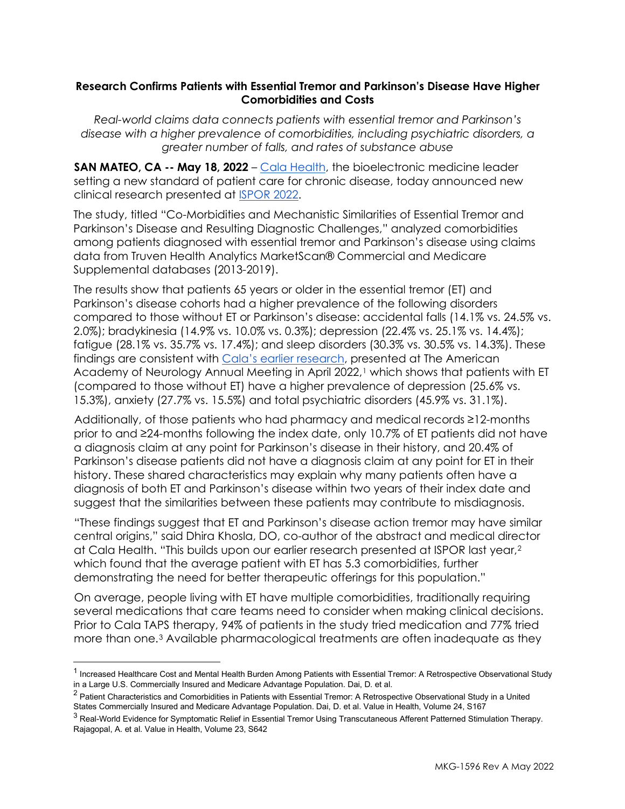## **Research Confirms Patients with Essential Tremor and Parkinson's Disease Have Higher Comorbidities and Costs**

*Real-world claims data connects patients with essential tremor and Parkinson's disease with a higher prevalence of comorbidities, including psychiatric disorders, a greater number of falls, and rates of substance abuse*

**SAN MATEO, CA -- May 18, 2022** – [Cala Health,](https://calahealth.com/) the bioelectronic medicine leader setting a new standard of patient care for chronic disease, today announced new clinical research presented at [ISPOR 2022.](https://www.ispor.org/conferences-education/conferences/upcoming-conferences/ispor-2022)

The study, titled "Co-Morbidities and Mechanistic Similarities of Essential Tremor and Parkinson's Disease and Resulting Diagnostic Challenges," analyzed comorbidities among patients diagnosed with essential tremor and Parkinson's disease using claims data from Truven Health Analytics MarketScan® Commercial and Medicare Supplemental databases (2013-2019).

The results show that patients 65 years or older in the essential tremor (ET) and Parkinson's disease cohorts had a higher prevalence of the following disorders compared to those without ET or Parkinson's disease: accidental falls (14.1% vs. 24.5% vs. 2.0%); bradykinesia (14.9% vs. 10.0% vs. 0.3%); depression (22.4% vs. 25.1% vs. 14.4%); fatigue (28.1% vs. 35.7% vs. 17.4%); and sleep disorders (30.3% vs. 30.5% vs. 14.3%). These findings are consistent with [Cala's earlier research,](https://calahealth.com/uploads/new-research-presented-at-aan-demonstrates-burden-associated-with-essential-tremor-and-the-unmet-patient-need.pdf) presented at The American Academy of Neurology Annual Meeting in April 2022,<sup>1</sup> which shows that patients with ET (compared to those without ET) have a higher prevalence of depression (25.6% vs. 15.3%), anxiety (27.7% vs. 15.5%) and total psychiatric disorders (45.9% vs. 31.1%).

Additionally, of those patients who had pharmacy and medical records ≥12-months prior to and ≥24-months following the index date, only 10.7% of ET patients did not have a diagnosis claim at any point for Parkinson's disease in their history, and 20.4% of Parkinson's disease patients did not have a diagnosis claim at any point for ET in their history. These shared characteristics may explain why many patients often have a diagnosis of both ET and Parkinson's disease within two years of their index date and suggest that the similarities between these patients may contribute to misdiagnosis.

"These findings suggest that ET and Parkinson's disease action tremor may have similar central origins," said Dhira Khosla, DO, co-author of the abstract and medical director at Cala Health. "This builds upon our earlier research presented at ISPOR last year,[2](#page-0-1) which found that the average patient with ET has 5.3 comorbidities, further demonstrating the need for better therapeutic offerings for this population."

On average, people living with ET have multiple comorbidities, traditionally requiring several medications that care teams need to consider when making clinical decisions. Prior to Cala TAPS therapy, 94% of patients in the study tried medication and 77% tried more than one.[3](#page-0-2) Available pharmacological treatments are often inadequate as they

<span id="page-0-0"></span><sup>&</sup>lt;sup>1</sup> Increased Healthcare Cost and Mental Health Burden Among Patients with Essential Tremor: A Retrospective Observational Study in a Large U.S. Commercially Insured and Medicare Advantage Population. Dai, D. et al.

<span id="page-0-1"></span><sup>&</sup>lt;sup>2</sup> Patient Characteristics and Comorbidities in Patients with Essential Tremor: A Retrospective Observational Study in a United States Commercially Insured and Medicare Advantage Population. Dai, D. et al. Value in Health, Volume 24, S167

<span id="page-0-2"></span><sup>&</sup>lt;sup>3</sup> Real-World Evidence for Symptomatic Relief in Essential Tremor Using Transcutaneous Afferent Patterned Stimulation Therapy. Rajagopal, A. et al. Value in Health, Volume 23, S642